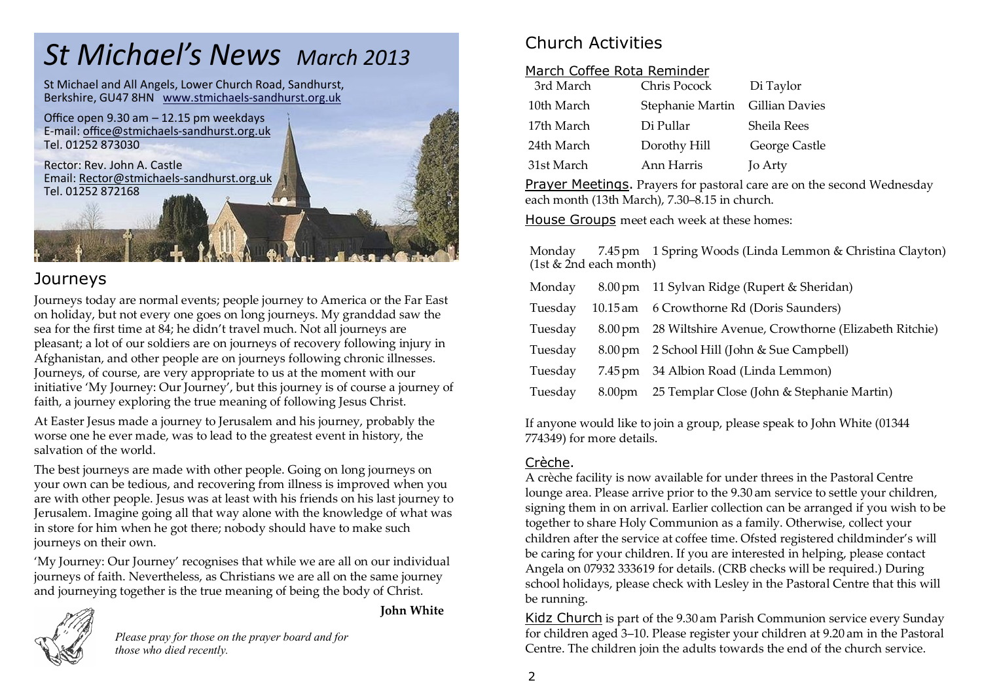## *St Michael's News March 2013*

St Michael and All Angels, Lower Church Road, Sandhurst, Berkshire, GU47 8HN www.stmichaels-sandhurst.org.uk



#### **Journeys**

Journeys today are normal events; people journey to America or the Far East on holiday, but not every one goes on long journeys. My granddad saw the sea for the first time at 84; he didn't travel much. Not all journeys are pleasant; a lot of our soldiers are on journeys of recovery following injury in Afghanistan, and other people are on journeys following chronic illnesses. Journeys, of course, are very appropriate to us at the moment with our initiative 'My Journey: Our Journey', but this journey is of course a journey of faith, a journey exploring the true meaning of following Jesus Christ.

At Easter Jesus made a journey to Jerusalem and his journey, probably the worse one he ever made, was to lead to the greatest event in history, the salvation of the world.

The best journeys are made with other people. Going on long journeys on your own can be tedious, and recovering from illness is improved when you are with other people. Jesus was at least with his friends on his last journey to Jerusalem. Imagine going all that way alone with the knowledge of what was in store for him when he got there; nobody should have to make such journeys on their own.

'My Journey: Our Journey' recognises that while we are all on our individual journeys of faith. Nevertheless, as Christians we are all on the same journey and journeying together is the true meaning of being the body of Christ.

**John White**



*Please pray for those on the prayer board and for those who died recently.*

## Church Activities

#### March Coffee Rota Reminder

| 3rd March  | Chris Pocock     | Di Taylor      |
|------------|------------------|----------------|
| 10th March | Stephanie Martin | Gillian Davies |
| 17th March | Di Pullar        | Sheila Rees    |
| 24th March | Dorothy Hill     | George Castle  |
| 31st March | Ann Harris       | Jo Arty        |

Prayer Meetings. Prayers for pastoral care are on the second Wednesday each month (13th March), 7.30–8.15 in church.

House Groups meet each week at these homes:

Monday 7.45pm 1 Spring Woods (Linda Lemmon & Christina Clayton)  $(1st \& 2nd each month)$ 

| 8.00 pm 11 Sylvan Ridge (Rupert & Sheridan)                 |
|-------------------------------------------------------------|
| 10.15 am 6 Crowthorne Rd (Doris Saunders)                   |
| 8.00 pm 28 Wiltshire Avenue, Crowthorne (Elizabeth Ritchie) |
| 8.00 pm 2 School Hill (John & Sue Campbell)                 |
| 7.45 pm 34 Albion Road (Linda Lemmon)                       |
| 8.00pm 25 Templar Close (John & Stephanie Martin)           |
|                                                             |

If anyone would like to join a group, please speak to John White (01344 774349) for more details.

#### Crèche.

A crèche facility is now available for under threes in the Pastoral Centre lounge area. Please arrive prior to the 9.30 am service to settle your children, signing them in on arrival. Earlier collection can be arranged if you wish to be together to share Holy Communion as a family. Otherwise, collect your children after the service at coffee time. Ofsted registered childminder's will be caring for your children. If you are interested in helping, please contact Angela on 07932 333619 for details. (CRB checks will be required.) During school holidays, please check with Lesley in the Pastoral Centre that this will be running.

Kidz Church is part of the 9.30 am Parish Communion service every Sunday for children aged 3–10. Please register your children at 9.20 am in the Pastoral Centre. The children join the adults towards the end of the church service.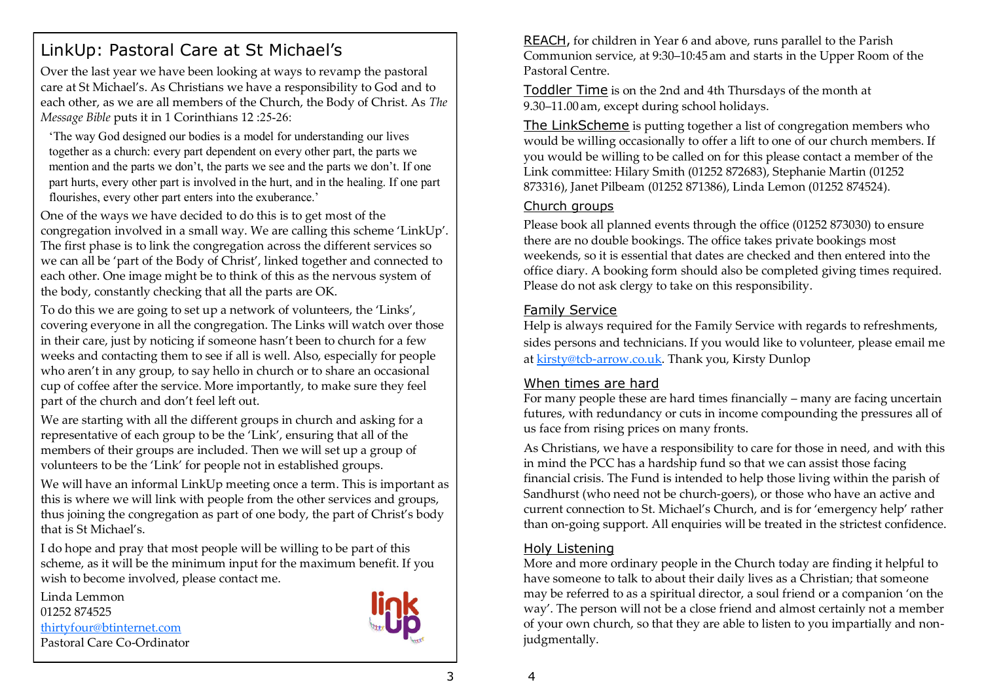## LinkUp: Pastoral Care at St Michael's

Over the last year we have been looking at ways to revamp the pastoral care at St Michael's. As Christians we have a responsibility to God and to each other, as we are all members of the Church, the Body of Christ. As *The Message Bible* puts it in 1 Corinthians 12 :25-26:

'The way God designed our bodies is a model for understanding our lives together as a church: every part dependent on every other part, the parts we mention and the parts we don't, the parts we see and the parts we don't. If one part hurts, every other part is involved in the hurt, and in the healing. If one part flourishes, every other part enters into the exuberance.'

One of the ways we have decided to do this is to get most of the congregation involved in a small way. We are calling this scheme 'LinkUp'. The first phase is to link the congregation across the different services so we can all be 'part of the Body of Christ', linked together and connected to each other. One image might be to think of this as the nervous system of the body, constantly checking that all the parts are OK.

To do this we are going to set up a network of volunteers, the 'Links', covering everyone in all the congregation. The Links will watch over those in their care, just by noticing if someone hasn't been to church for a few weeks and contacting them to see if all is well. Also, especially for people who aren't in any group, to say hello in church or to share an occasional cup of coffee after the service. More importantly, to make sure they feel part of the church and don't feel left out.

We are starting with all the different groups in church and asking for a representative of each group to be the 'Link', ensuring that all of the members of their groups are included. Then we will set up a group of volunteers to be the 'Link' for people not in established groups.

We will have an informal LinkUp meeting once a term. This is important as this is where we will link with people from the other services and groups, thus joining the congregation as part of one body, the part of Christ's body that is St Michael's.

I do hope and pray that most people will be willing to be part of this scheme, as it will be the minimum input for the maximum benefit. If you wish to become involved, please contact me.

Linda Lemmon 01252 874525 [thirtyfour@btinternet.com](mailto:thirtyfour@btinternet.com) Pastoral Care Co-Ordinator



REACH, for children in Year 6 and above, runs parallel to the Parish Communion service, at 9:30–10:45 am and starts in the Upper Room of the Pastoral Centre.

Toddler Time is on the 2nd and 4th Thursdays of the month at 9.30–11.00 am, except during school holidays.

The LinkScheme is putting together a list of congregation members who would be willing occasionally to offer a lift to one of our church members. If you would be willing to be called on for this please contact a member of the Link committee: Hilary Smith (01252 872683), Stephanie Martin (01252 873316), Janet Pilbeam (01252 871386), Linda Lemon (01252 874524).

#### Church groups

Please book all planned events through the office (01252 873030) to ensure there are no double bookings. The office takes private bookings most weekends, so it is essential that dates are checked and then entered into the office diary. A booking form should also be completed giving times required. Please do not ask clergy to take on this responsibility.

#### Family Service

Help is always required for the Family Service with regards to refreshments, sides persons and technicians. If you would like to volunteer, please email me at kirsty@tcb-[arrow.co.uk.](mailto:kirsty@tcb-arrow.co.uk) Thank you, Kirsty Dunlop

#### When times are hard

For many people these are hard times financially – many are facing uncertain futures, with redundancy or cuts in income compounding the pressures all of us face from rising prices on many fronts.

As Christians, we have a responsibility to care for those in need, and with this in mind the PCC has a hardship fund so that we can assist those facing financial crisis. The Fund is intended to help those living within the parish of Sandhurst (who need not be church-goers), or those who have an active and current connection to St. Michael's Church, and is for 'emergency help' rather than on-going support. All enquiries will be treated in the strictest confidence.

#### Holy Listening

More and more ordinary people in the Church today are finding it helpful to have someone to talk to about their daily lives as a Christian; that someone may be referred to as a spiritual director, a soul friend or a companion 'on the way'. The person will not be a close friend and almost certainly not a member of your own church, so that they are able to listen to you impartially and nonjudgmentally.

4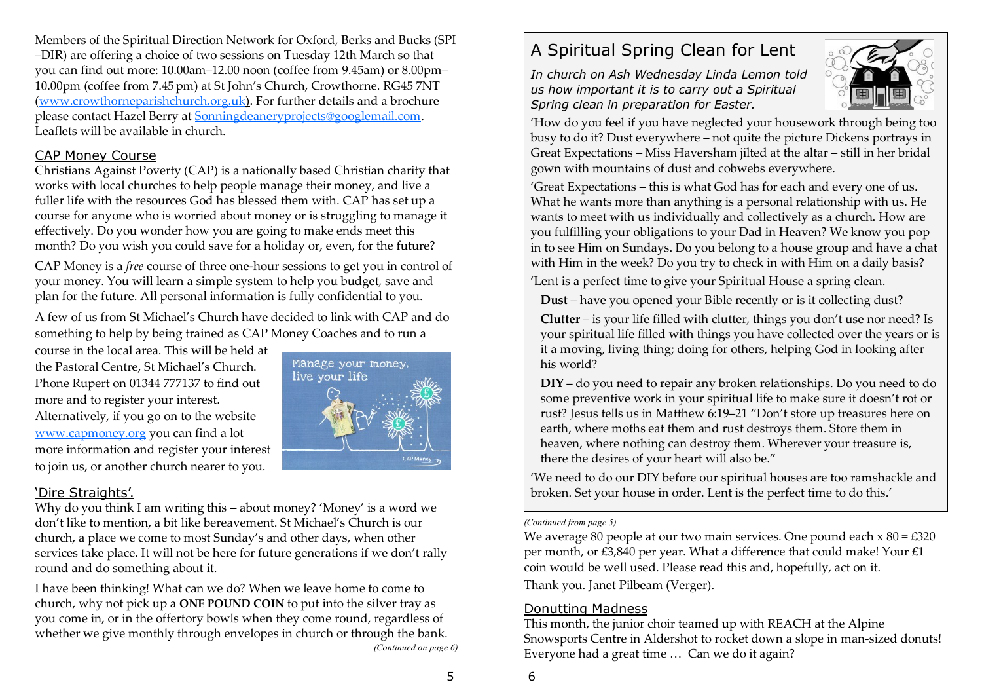Members of the Spiritual Direction Network for Oxford, Berks and Bucks (SPI –DIR) are offering a choice of two sessions on Tuesday 12th March so that you can find out more: 10.00am–12.00 noon (coffee from 9.45am) or 8.00pm– 10.00pm (coffee from 7.45 pm) at St John's Church, Crowthorne. RG45 7NT ([www.crowthorneparishchurch.org.uk\)](http://www.crowthorneparishchurch.org.uk/). For further details and a brochure please contact Hazel Berry at [Sonningdeaneryprojects@googlemail.com.](mailto:Sonningdeaneryprojects@googlemail.com)  Leaflets will be available in church.

#### CAP Money Course

Christians Against Poverty (CAP) is a nationally based Christian charity that works with local churches to help people manage their money, and live a fuller life with the resources God has blessed them with. CAP has set up a course for anyone who is worried about money or is struggling to manage it effectively. Do you wonder how you are going to make ends meet this month? Do you wish you could save for a holiday or, even, for the future?

CAP Money is a *free* course of three one-hour sessions to get you in control of your money. You will learn a simple system to help you budget, save and plan for the future. All personal information is fully confidential to you.

A few of us from St Michael's Church have decided to link with CAP and do something to help by being trained as CAP Money Coaches and to run a

course in the local area. This will be held at the Pastoral Centre, St Michael's Church. Phone Rupert on 01344 777137 to find out more and to register your interest. Alternatively, if you go on to the website [www.capmoney.org](http://www.capmoney.org/) you can find a lot more information and register your interest to join us, or another church nearer to you.



#### 'Dire Straights'.

Why do you think I am writing this – about money? 'Money' is a word we don't like to mention, a bit like bereavement. St Michael's Church is our church, a place we come to most Sunday's and other days, when other services take place. It will not be here for future generations if we don't rally round and do something about it.

I have been thinking! What can we do? When we leave home to come to church, why not pick up a **ONE POUND COIN** to put into the silver tray as you come in, or in the offertory bowls when they come round, regardless of whether we give monthly through envelopes in church or through the bank. *(Continued on page 6)*

## A Spiritual Spring Clean for Lent

*In church on Ash Wednesday Linda Lemon told us how important it is to carry out a Spiritual Spring clean in preparation for Easter.*



'How do you feel if you have neglected your housework through being too busy to do it? Dust everywhere – not quite the picture Dickens portrays in Great Expectations – Miss Haversham jilted at the altar – still in her bridal gown with mountains of dust and cobwebs everywhere.

'Great Expectations – this is what God has for each and every one of us. What he wants more than anything is a personal relationship with us. He wants to meet with us individually and collectively as a church. How are you fulfilling your obligations to your Dad in Heaven? We know you pop in to see Him on Sundays. Do you belong to a house group and have a chat with Him in the week? Do you try to check in with Him on a daily basis?

'Lent is a perfect time to give your Spiritual House a spring clean.

**Dust** – have you opened your Bible recently or is it collecting dust?

**Clutter** – is your life filled with clutter, things you don't use nor need? Is your spiritual life filled with things you have collected over the years or is it a moving, living thing; doing for others, helping God in looking after his world?

**DIY** – do you need to repair any broken relationships. Do you need to do some preventive work in your spiritual life to make sure it doesn't rot or rust? Jesus tells us in Matthew 6:19–21 "Don't store up treasures here on earth, where moths eat them and rust destroys them. Store them in heaven, where nothing can destroy them. Wherever your treasure is, there the desires of your heart will also be."

'We need to do our DIY before our spiritual houses are too ramshackle and broken. Set your house in order. Lent is the perfect time to do this.'

#### *(Continued from page 5)*

We average 80 people at our two main services. One pound each  $x 80 = £320$ per month, or £3,840 per year. What a difference that could make! Your £1 coin would be well used. Please read this and, hopefully, act on it. Thank you. Janet Pilbeam (Verger).

#### Donutting Madness

This month, the junior choir teamed up with REACH at the Alpine Snowsports Centre in Aldershot to rocket down a slope in man-sized donuts! Everyone had a great time … Can we do it again?

6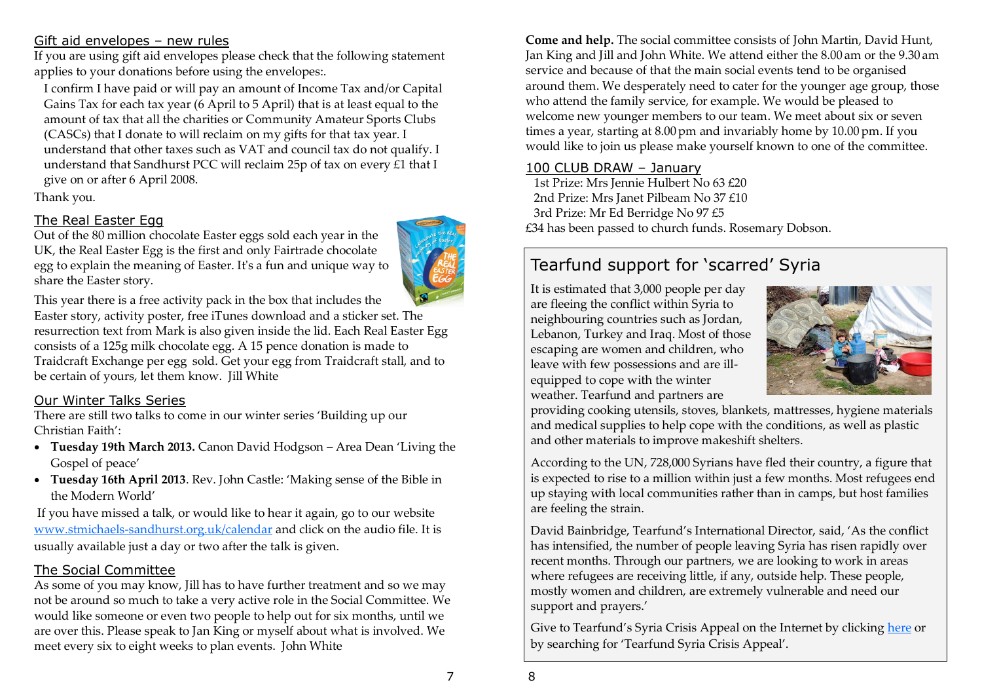#### Gift aid envelopes – new rules

If you are using gift aid envelopes please check that the following statement applies to your donations before using the envelopes:.

I confirm I have paid or will pay an amount of Income Tax and/or Capital Gains Tax for each tax year (6 April to 5 April) that is at least equal to the amount of tax that all the charities or Community Amateur Sports Clubs (CASCs) that I donate to will reclaim on my gifts for that tax year. I understand that other taxes such as VAT and council tax do not qualify. I understand that Sandhurst PCC will reclaim 25p of tax on every £1 that I give on or after 6 April 2008.

Thank you.

#### The Real Easter Egg

Out of the 80 million chocolate Easter eggs sold each year in the UK, the Real Easter Egg is the first and only Fairtrade chocolate egg to explain the meaning of Easter. It's a fun and unique way to share the Easter story.



This year there is a free activity pack in the box that includes the Easter story, activity poster, free iTunes download and a sticker set. The resurrection text from Mark is also given inside the lid. Each Real Easter Egg consists of a 125g milk chocolate egg. A 15 pence donation is made to Traidcraft Exchange per egg sold. Get your egg from Traidcraft stall, and to be certain of yours, let them know. Jill White

#### Our Winter Talks Series

There are still two talks to come in our winter series 'Building up our Christian Faith':

- **Tuesday 19th March 2013.** Canon David Hodgson Area Dean 'Living the Gospel of peace'
- **Tuesday 16th April 2013**. Rev. John Castle: 'Making sense of the Bible in the Modern World'

If you have missed a talk, or would like to hear it again, go to our website www.stmichaels-[sandhurst.org.uk/calendar](http://www.stmichaels-sandhurst.org.uk/calendar) and click on the audio file. It is usually available just a day or two after the talk is given.

#### The Social Committee

As some of you may know, Jill has to have further treatment and so we may not be around so much to take a very active role in the Social Committee. We would like someone or even two people to help out for six months, until we are over this. Please speak to Jan King or myself about what is involved. We meet every six to eight weeks to plan events. John White

**Come and help.** The social committee consists of John Martin, David Hunt, Jan King and Jill and John White. We attend either the 8.00 am or the 9.30 am service and because of that the main social events tend to be organised around them. We desperately need to cater for the younger age group, those who attend the family service, for example. We would be pleased to welcome new younger members to our team. We meet about six or seven times a year, starting at 8.00 pm and invariably home by 10.00 pm. If you would like to join us please make yourself known to one of the committee.

#### 100 CLUB DRAW – January

1st Prize: Mrs Jennie Hulbert No 63 £20 2nd Prize: Mrs Janet Pilbeam No 37 £10 3rd Prize: Mr Ed Berridge No 97 £5 £34 has been passed to church funds. Rosemary Dobson.

## Tearfund support for 'scarred' Syria

It is estimated that 3,000 people per day are fleeing the conflict within Syria to neighbouring countries such as Jordan, Lebanon, Turkey and Iraq. Most of those escaping are women and children, who leave with few possessions and are illequipped to cope with the winter weather. Tearfund and partners are



providing cooking utensils, stoves, blankets, mattresses, hygiene materials and medical supplies to help cope with the conditions, as well as plastic and other materials to improve makeshift shelters.

According to the UN, 728,000 Syrians have fled their country, a figure that is expected to rise to a million within just a few months. Most refugees end up staying with local communities rather than in camps, but host families are feeling the strain.

David Bainbridge, Tearfund's International Director, said, 'As the conflict has intensified, the number of people leaving Syria has risen rapidly over recent months. Through our partners, we are looking to work in areas where refugees are receiving little, if any, outside help. These people, mostly women and children, are extremely vulnerable and need our support and prayers.'

Give to Tearfund's Syria Crisis Appeal on the Internet by clicking [here](https://www.tearfund.org/get_involved/give/give_main/one-off_donations/syria_crisis_appeal/) or by searching for 'Tearfund Syria Crisis Appeal'.

7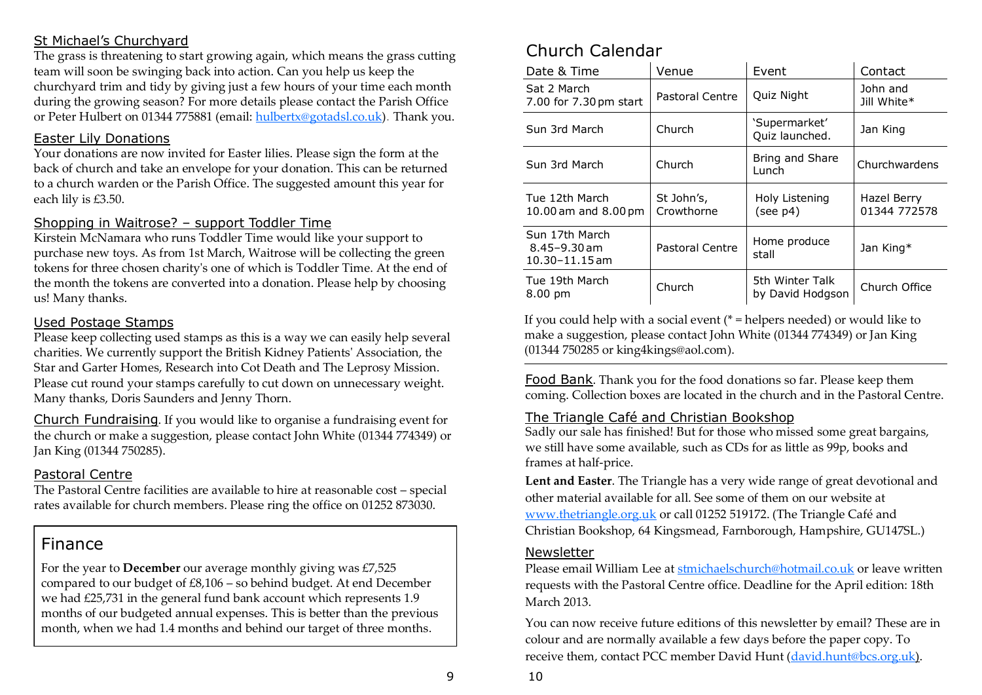#### St Michael's Churchyard

The grass is threatening to start growing again, which means the grass cutting team will soon be swinging back into action. Can you help us keep the churchyard trim and tidy by giving just a few hours of your time each month during the growing season? For more details please contact the Parish Office or Peter Hulbert on 01344 775881 (email: [hulbertx@gotadsl.co.uk\)](mailto:hulbertx@gotadsl.co.uk). Thank you.

#### Easter Lily Donations

Your donations are now invited for Easter lilies. Please sign the form at the back of church and take an envelope for your donation. This can be returned to a church warden or the Parish Office. The suggested amount this year for each lily is £3.50.

#### Shopping in Waitrose? – support Toddler Time

Kirstein McNamara who runs Toddler Time would like your support to purchase new toys. As from 1st March, Waitrose will be collecting the green tokens for three chosen charity's one of which is Toddler Time. At the end of the month the tokens are converted into a donation. Please help by choosing us! Many thanks.

#### Used Postage Stamps

Please keep collecting used stamps as this is a way we can easily help several charities. We currently support the British Kidney Patients' Association, the Star and Garter Homes, Research into Cot Death and The Leprosy Mission. Please cut round your stamps carefully to cut down on unnecessary weight. Many thanks, Doris Saunders and Jenny Thorn.

Church Fundraising. If you would like to organise a fundraising event for the church or make a suggestion, please contact John White (01344 774349) or Jan King (01344 750285).

#### Pastoral Centre

The Pastoral Centre facilities are available to hire at reasonable cost – special rates available for church members. Please ring the office on 01252 873030.

## Finance

For the year to **December** our average monthly giving was £7,525 compared to our budget of £8,106 – so behind budget. At end December we had £25,731 in the general fund bank account which represents 1.9 months of our budgeted annual expenses. This is better than the previous month, when we had 1.4 months and behind our target of three months.

## Church Calendar

| Date & Time                                              | Venue                    | Event                               | Contact                     |
|----------------------------------------------------------|--------------------------|-------------------------------------|-----------------------------|
| Sat 2 March<br>7.00 for 7.30 pm start                    | Pastoral Centre          | Quiz Night                          | John and<br>Jill White*     |
| Sun 3rd March                                            | Church                   | 'Supermarket'<br>Quiz launched.     | Jan King                    |
| Sun 3rd March                                            | Church                   | Bring and Share<br>Lunch            | Churchwardens               |
| Tue 12th March<br>10.00 am and 8.00 pm                   | St John's,<br>Crowthorne | Holy Listening<br>(see p4)          | Hazel Berry<br>01344 772578 |
| Sun 17th March<br>$8.45 - 9.30$ am<br>$10.30 - 11.15$ am | Pastoral Centre          | Home produce<br>stall               | Jan King*                   |
| Tue 19th March<br>$8.00 \text{ pm}$                      | Church                   | 5th Winter Talk<br>by David Hodgson | Church Office               |

If you could help with a social event  $(* =$  helpers needed) or would like to make a suggestion, please contact John White (01344 774349) or Jan King (01344 750285 or king4kings@aol.com).

Food Bank. Thank you for the food donations so far. Please keep them coming. Collection boxes are located in the church and in the Pastoral Centre.

#### The Triangle Café and Christian Bookshop

Sadly our sale has finished! But for those who missed some great bargains, we still have some available, such as CDs for as little as 99p, books and frames at half-price.

**Lent and Easter**. The Triangle has a very wide range of great devotional and other material available for all. See some of them on our website at [www.thetriangle.org.uk](http://www.thetriangle.org.uk) or call 01252 519172. (The Triangle Café and Christian Bookshop, 64 Kingsmead, Farnborough, Hampshire, GU147SL.)

#### Newsletter

Please email William Lee at [stmichaelschurch@hotmail.co.uk](mailto:stmichaelschurch@hotmail.co.uk) or leave written requests with the Pastoral Centre office. Deadline for the April edition: 18th March 2013.

You can now receive future editions of this newsletter by email? These are in colour and are normally available a few days before the paper copy. To receive them, contact PCC member David Hunt ([david.hunt@bcs.org.uk\)](mailto:david.hunt@bcs.org.uk).